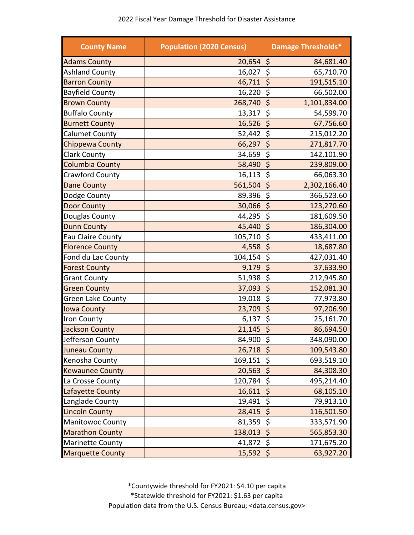| <b>County Name</b>       | <b>Population (2020 Census)</b> | <b>Damage Thresholds*</b>                     |
|--------------------------|---------------------------------|-----------------------------------------------|
| <b>Adams County</b>      | 20,654                          | \$<br>84,681.40                               |
| <b>Ashland County</b>    | 16,027                          | $\overline{\varsigma}$<br>65,710.70           |
| <b>Barron County</b>     | 46,711                          | \$<br>191,515.10                              |
| <b>Bayfield County</b>   | 16,220                          | \$<br>66,502.00                               |
| <b>Brown County</b>      | 268,740                         | $\overline{\xi}$<br>1,101,834.00              |
| <b>Buffalo County</b>    | 13,317                          | \$<br>54,599.70                               |
| <b>Burnett County</b>    | 16,526                          | $\zeta$<br>67,756.60                          |
| <b>Calumet County</b>    | 52,442                          | $\overline{\xi}$<br>215,012.20                |
| <b>Chippewa County</b>   | $66,297$ \$                     | 271,817.70                                    |
| <b>Clark County</b>      | 34,659                          | $\overline{\boldsymbol{\zeta}}$<br>142,101.90 |
| <b>Columbia County</b>   | 58,490                          | $\varsigma$<br>239,809.00                     |
| Crawford County          | 16,113                          | $\zeta$<br>66,063.30                          |
| <b>Dane County</b>       | 561,504                         | $\zeta$<br>2,302,166.40                       |
| Dodge County             | 89,396                          | $\overline{\varsigma}$<br>366,523.60          |
| <b>Door County</b>       | 30,066                          | \$<br>123,270.60                              |
| Douglas County           | 44,295                          | \$<br>181,609.50                              |
| <b>Dunn County</b>       | 45,440                          | $\overline{\varsigma}$<br>186,304.00          |
| Eau Claire County        | 105,710                         | \$<br>433,411.00                              |
| <b>Florence County</b>   | 4,558                           | $\overline{\xi}$<br>18,687.80                 |
| Fond du Lac County       | 104, 154                        | \$<br>427,031.40                              |
| <b>Forest County</b>     | 9,179                           | \$<br>37,633.90                               |
| <b>Grant County</b>      | 51,938                          | \$<br>212,945.80                              |
| <b>Green County</b>      | 37,093                          | $\overline{\xi}$<br>152,081.30                |
| <b>Green Lake County</b> | 19,018                          | \$<br>77,973.80                               |
| <b>Iowa County</b>       | 23,709                          | $\overline{\xi}$<br>97,206.90                 |
| Iron County              | 6,137                           | \$<br>25,161.70                               |
| <b>Jackson County</b>    | 21,145                          | \$<br>86,694.50                               |
| Jefferson County         | $84,900$ \$                     | 348,090.00                                    |
| <b>Juneau County</b>     | $26,718$ \$                     | 109,543.80                                    |
| Kenosha County           | 169,151                         | $\zeta$<br>693,519.10                         |
| <b>Kewaunee County</b>   | 20,563                          | \$<br>84,308.30                               |
| La Crosse County         | 120,784                         | \$<br>495,214.40                              |
| <b>Lafayette County</b>  | 16,611                          | \$<br>68,105.10                               |
| Langlade County          | 19,491                          | \$<br>79,913.10                               |
| <b>Lincoln County</b>    | 28,415                          | \$<br>116,501.50                              |
| <b>Manitowoc County</b>  | 81,359                          | \$<br>333,571.90                              |
| <b>Marathon County</b>   | 138,013                         | \$<br>565,853.30                              |
| <b>Marinette County</b>  | 41,872                          | \$<br>171,675.20                              |
| <b>Marquette County</b>  | 15,592                          | \$<br>63,927.20                               |

\*Countywide threshold for FY2021: \$4.10 per capita \*Statewide threshold for FY2021: \$1.63 per capita Population data from the U.S. Census Bureau; <data.census.gov>